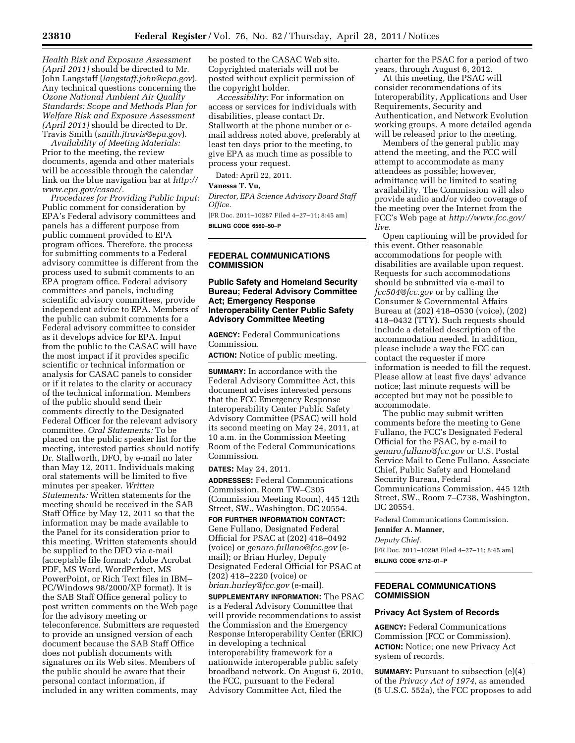*Health Risk and Exposure Assessment (April 2011)* should be directed to Mr. John Langstaff (*langstaff.john@epa.gov*). Any technical questions concerning the *Ozone National Ambient Air Quality Standards: Scope and Methods Plan for Welfare Risk and Exposure Assessment (April 2011)* should be directed to Dr. Travis Smith (*smith.jtravis@epa.gov*).

*Availability of Meeting Materials:*  Prior to the meeting, the review documents, agenda and other materials will be accessible through the calendar link on the blue navigation bar at *http:// www.epa.gov/casac/.* 

*Procedures for Providing Public Input:*  Public comment for consideration by EPA's Federal advisory committees and panels has a different purpose from public comment provided to EPA program offices. Therefore, the process for submitting comments to a Federal advisory committee is different from the process used to submit comments to an EPA program office. Federal advisory committees and panels, including scientific advisory committees, provide independent advice to EPA. Members of the public can submit comments for a Federal advisory committee to consider as it develops advice for EPA. Input from the public to the CASAC will have the most impact if it provides specific scientific or technical information or analysis for CASAC panels to consider or if it relates to the clarity or accuracy of the technical information. Members of the public should send their comments directly to the Designated Federal Officer for the relevant advisory committee. *Oral Statements:* To be placed on the public speaker list for the meeting, interested parties should notify Dr. Stallworth, DFO, by e-mail no later than May 12, 2011. Individuals making oral statements will be limited to five minutes per speaker. *Written Statements:* Written statements for the meeting should be received in the SAB Staff Office by May 12, 2011 so that the information may be made available to the Panel for its consideration prior to this meeting. Written statements should be supplied to the DFO via e-mail (acceptable file format: Adobe Acrobat PDF, MS Word, WordPerfect, MS PowerPoint, or Rich Text files in IBM– PC/Windows 98/2000/XP format). It is the SAB Staff Office general policy to post written comments on the Web page for the advisory meeting or teleconference. Submitters are requested to provide an unsigned version of each document because the SAB Staff Office does not publish documents with signatures on its Web sites. Members of the public should be aware that their personal contact information, if included in any written comments, may

be posted to the CASAC Web site. Copyrighted materials will not be posted without explicit permission of the copyright holder.

*Accessibility:* For information on access or services for individuals with disabilities, please contact Dr. Stallworth at the phone number or email address noted above, preferably at least ten days prior to the meeting, to give EPA as much time as possible to process your request.

Dated: April 22, 2011.

#### **Vanessa T. Vu,**

*Director, EPA Science Advisory Board Staff Office.* 

[FR Doc. 2011–10287 Filed 4–27–11; 8:45 am] **BILLING CODE 6560–50–P** 

# **FEDERAL COMMUNICATIONS COMMISSION**

# **Public Safety and Homeland Security Bureau; Federal Advisory Committee Act; Emergency Response Interoperability Center Public Safety Advisory Committee Meeting**

**AGENCY:** Federal Communications Commission.

**ACTION:** Notice of public meeting.

**SUMMARY:** In accordance with the Federal Advisory Committee Act, this document advises interested persons that the FCC Emergency Response Interoperability Center Public Safety Advisory Committee (PSAC) will hold its second meeting on May 24, 2011, at 10 a.m. in the Commission Meeting Room of the Federal Communications Commission.

#### **DATES:** May 24, 2011.

**ADDRESSES:** Federal Communications Commission, Room TW–C305 (Commission Meeting Room), 445 12th Street, SW., Washington, DC 20554.

**FOR FURTHER INFORMATION CONTACT:**  Gene Fullano, Designated Federal Official for PSAC at (202) 418–0492 (voice) or *genaro.fullano@fcc.gov* (email); or Brian Hurley, Deputy Designated Federal Official for PSAC at (202) 418–2220 (voice) or *brian.hurley@fcc.gov* (e-mail).

**SUPPLEMENTARY INFORMATION:** The PSAC is a Federal Advisory Committee that will provide recommendations to assist the Commission and the Emergency Response Interoperability Center (ERIC) in developing a technical interoperability framework for a nationwide interoperable public safety broadband network. On August 6, 2010, the FCC, pursuant to the Federal Advisory Committee Act, filed the

charter for the PSAC for a period of two years, through August 6, 2012.

At this meeting, the PSAC will consider recommendations of its Interoperability, Applications and User Requirements, Security and Authentication, and Network Evolution working groups. A more detailed agenda will be released prior to the meeting.

Members of the general public may attend the meeting, and the FCC will attempt to accommodate as many attendees as possible; however, admittance will be limited to seating availability. The Commission will also provide audio and/or video coverage of the meeting over the Internet from the FCC's Web page at *http://www.fcc.gov/ live.* 

Open captioning will be provided for this event. Other reasonable accommodations for people with disabilities are available upon request. Requests for such accommodations should be submitted via e-mail to *fcc504@fcc.gov* or by calling the Consumer & Governmental Affairs Bureau at (202) 418–0530 (voice), (202) 418–0432 (TTY). Such requests should include a detailed description of the accommodation needed. In addition, please include a way the FCC can contact the requester if more information is needed to fill the request. Please allow at least five days' advance notice; last minute requests will be accepted but may not be possible to accommodate.

The public may submit written comments before the meeting to Gene Fullano, the FCC's Designated Federal Official for the PSAC, by e-mail to *genaro.fullano@fcc.gov* or U.S. Postal Service Mail to Gene Fullano, Associate Chief, Public Safety and Homeland Security Bureau, Federal Communications Commission, 445 12th Street, SW., Room 7–C738, Washington, DC 20554.

Federal Communications Commission.

**Jennifer A. Manner,** 

*Deputy Chief.* 

[FR Doc. 2011–10298 Filed 4–27–11; 8:45 am] **BILLING CODE 6712–01–P** 

# **FEDERAL COMMUNICATIONS COMMISSION**

# **Privacy Act System of Records**

**AGENCY:** Federal Communications Commission (FCC or Commission). **ACTION:** Notice; one new Privacy Act system of records.

**SUMMARY:** Pursuant to subsection (e)(4) of the *Privacy Act of 1974,* as amended (5 U.S.C. 552a), the FCC proposes to add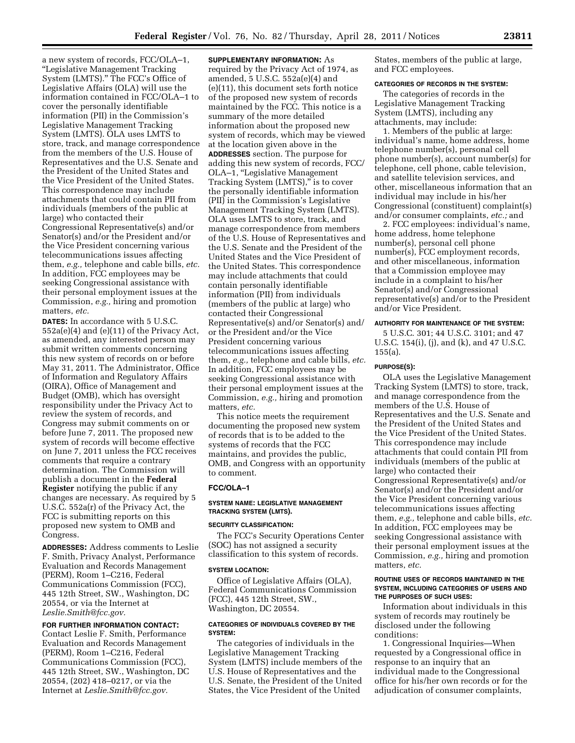a new system of records, FCC/OLA–1, ''Legislative Management Tracking System (LMTS).'' The FCC's Office of Legislative Affairs (OLA) will use the information contained in FCC/OLA–1 to cover the personally identifiable information (PII) in the Commission's Legislative Management Tracking System (LMTS). OLA uses LMTS to store, track, and manage correspondence from the members of the U.S. House of Representatives and the U.S. Senate and the President of the United States and the Vice President of the United States. This correspondence may include attachments that could contain PII from individuals (members of the public at large) who contacted their Congressional Representative(s) and/or Senator(s) and/or the President and/or the Vice President concerning various telecommunications issues affecting them, *e.g.,* telephone and cable bills, *etc.*  In addition, FCC employees may be seeking Congressional assistance with their personal employment issues at the Commission, *e.g.,* hiring and promotion matters, *etc.* 

**DATES:** In accordance with 5 U.S.C. 552a(e)(4) and (e)(11) of the Privacy Act, as amended, any interested person may submit written comments concerning this new system of records on or before May 31, 2011. The Administrator, Office of Information and Regulatory Affairs (OIRA), Office of Management and Budget (OMB), which has oversight responsibility under the Privacy Act to review the system of records, and Congress may submit comments on or before June 7, 2011. The proposed new system of records will become effective on June 7, 2011 unless the FCC receives comments that require a contrary determination. The Commission will publish a document in the **Federal Register** notifying the public if any changes are necessary. As required by 5 U.S.C. 552a(r) of the Privacy Act, the FCC is submitting reports on this proposed new system to OMB and Congress.

**ADDRESSES:** Address comments to Leslie F. Smith, Privacy Analyst, Performance Evaluation and Records Management (PERM), Room 1–C216, Federal Communications Commission (FCC), 445 12th Street, SW., Washington, DC 20554, or via the Internet at *Leslie.Smith@fcc.gov.* 

# **FOR FURTHER INFORMATION CONTACT:**

Contact Leslie F. Smith, Performance Evaluation and Records Management (PERM), Room 1–C216, Federal Communications Commission (FCC), 445 12th Street, SW., Washington, DC 20554, (202) 418–0217, or via the Internet at *Leslie.Smith@fcc.gov.* 

**SUPPLEMENTARY INFORMATION:** As required by the Privacy Act of 1974, as amended, 5 U.S.C. 552a(e)(4) and (e)(11), this document sets forth notice of the proposed new system of records maintained by the FCC. This notice is a summary of the more detailed information about the proposed new system of records, which may be viewed at the location given above in the **ADDRESSES** section. The purpose for adding this new system of records, FCC/ OLA–1, ''Legislative Management Tracking System (LMTS)," is to cover the personally identifiable information (PII) in the Commission's Legislative Management Tracking System (LMTS). OLA uses LMTS to store, track, and manage correspondence from members of the U.S. House of Representatives and the U.S. Senate and the President of the United States and the Vice President of the United States. This correspondence may include attachments that could contain personally identifiable information (PII) from individuals (members of the public at large) who contacted their Congressional Representative(s) and/or Senator(s) and/ or the President and/or the Vice President concerning various telecommunications issues affecting them, *e.g.,* telephone and cable bills, *etc.*  In addition, FCC employees may be seeking Congressional assistance with their personal employment issues at the Commission, *e.g.,* hiring and promotion matters, *etc.* 

This notice meets the requirement documenting the proposed new system of records that is to be added to the systems of records that the FCC maintains, and provides the public, OMB, and Congress with an opportunity to comment.

#### **FCC/OLA–1**

# **SYSTEM NAME: LEGISLATIVE MANAGEMENT TRACKING SYSTEM (LMTS).**

# **SECURITY CLASSIFICATION:**

The FCC's Security Operations Center (SOC) has not assigned a security classification to this system of records.

#### **SYSTEM LOCATION:**

Office of Legislative Affairs (OLA), Federal Communications Commission (FCC), 445 12th Street, SW., Washington, DC 20554.

#### **CATEGORIES OF INDIVIDUALS COVERED BY THE SYSTEM:**

The categories of individuals in the Legislative Management Tracking System (LMTS) include members of the U.S. House of Representatives and the U.S. Senate, the President of the United States, the Vice President of the United

States, members of the public at large, and FCC employees.

#### **CATEGORIES OF RECORDS IN THE SYSTEM:**

The categories of records in the Legislative Management Tracking System (LMTS), including any attachments, may include:

1. Members of the public at large: individual's name, home address, home telephone number(s), personal cell phone number(s), account number(s) for telephone, cell phone, cable television, and satellite television services, and other, miscellaneous information that an individual may include in his/her Congressional (constituent) complaint(s) and/or consumer complaints, *etc.;* and

2. FCC employees: individual's name, home address, home telephone number(s), personal cell phone number(s), FCC employment records, and other miscellaneous, information that a Commission employee may include in a complaint to his/her Senator(s) and/or Congressional representative(s) and/or to the President and/or Vice President.

# **AUTHORITY FOR MAINTENANCE OF THE SYSTEM:**

5 U.S.C. 301; 44 U.S.C. 3101; and 47 U.S.C. 154(i), (j), and (k), and 47 U.S.C. 155(a).

#### **PURPOSE(S):**

OLA uses the Legislative Management Tracking System (LMTS) to store, track, and manage correspondence from the members of the U.S. House of Representatives and the U.S. Senate and the President of the United States and the Vice President of the United States. This correspondence may include attachments that could contain PII from individuals (members of the public at large) who contacted their Congressional Representative(s) and/or Senator(s) and/or the President and/or the Vice President concerning various telecommunications issues affecting them, *e.g.,* telephone and cable bills, *etc.*  In addition, FCC employees may be seeking Congressional assistance with their personal employment issues at the Commission, *e.g.,* hiring and promotion matters, *etc.* 

#### **ROUTINE USES OF RECORDS MAINTAINED IN THE SYSTEM, INCLUDING CATEGORIES OF USERS AND THE PURPOSES OF SUCH USES:**

Information about individuals in this system of records may routinely be disclosed under the following conditions:

1. Congressional Inquiries—When requested by a Congressional office in response to an inquiry that an individual made to the Congressional office for his/her own records or for the adjudication of consumer complaints,